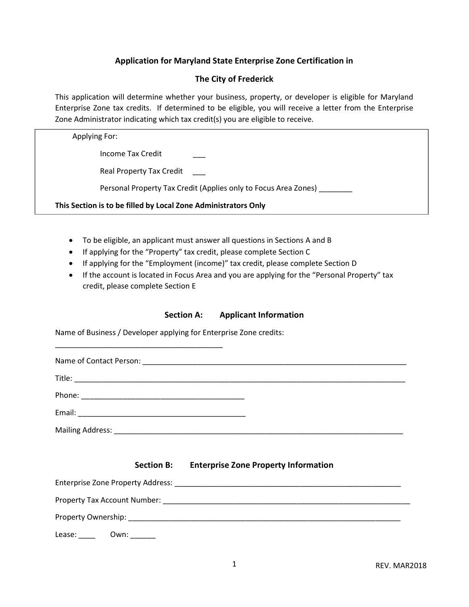# Application for Maryland State Enterprise Zone Certification in

## The City of Frederick

This application will determine whether your business, property, or developer is eligible for Maryland Enterprise Zone tax credits. If determined to be eligible, you will receive a letter from the Enterprise Zone Administrator indicating which tax credit(s) you are eligible to receive.

#### Applying For:

Income Tax Credit \_\_\_

Real Property Tax Credit

Personal Property Tax Credit (Applies only to Focus Area Zones) \_\_\_\_\_\_\_\_

This Section is to be filled by Local Zone Administrators Only

- To be eligible, an applicant must answer all questions in Sections A and B
- If applying for the "Property" tax credit, please complete Section C
- If applying for the "Employment (income)" tax credit, please complete Section D
- If the account is located in Focus Area and you are applying for the "Personal Property" tax credit, please complete Section E

#### Section A: Applicant Information

Name of Business / Developer applying for Enterprise Zone credits:

\_\_\_\_\_\_\_\_\_\_\_\_\_\_\_\_\_\_\_\_\_\_\_\_\_\_\_\_\_\_\_\_\_\_\_\_\_\_\_\_

Section B: Enterprise Zone Property Information

| <b>Enterprise Zone Property Address:</b> |                                                                                                                                                                                                                                |  |  |
|------------------------------------------|--------------------------------------------------------------------------------------------------------------------------------------------------------------------------------------------------------------------------------|--|--|
|                                          | Property Tax Account Number: National Account of the Control of the Control of the Control of the Control of the Control of the Control of the Control of the Control of the Control of the Control of the Control of the Cont |  |  |
|                                          | Property Ownership: National Accounts and Accounts and Accounts and Accounts and Accounts are also a series and Accounts are also a series and accounts are also as a series of the series of the series of the series of the  |  |  |
| Lease:                                   | Own:                                                                                                                                                                                                                           |  |  |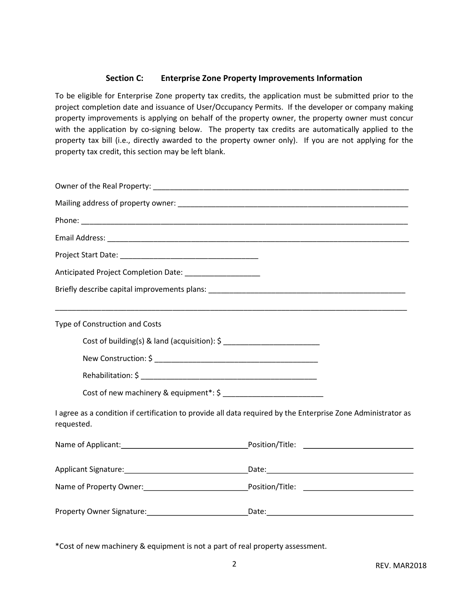### Section C: Enterprise Zone Property Improvements Information

To be eligible for Enterprise Zone property tax credits, the application must be submitted prior to the project completion date and issuance of User/Occupancy Permits. If the developer or company making property improvements is applying on behalf of the property owner, the property owner must concur with the application by co-signing below. The property tax credits are automatically applied to the property tax bill (i.e., directly awarded to the property owner only). If you are not applying for the property tax credit, this section may be left blank.

| Anticipated Project Completion Date: __________________                                                                    |  |  |  |  |
|----------------------------------------------------------------------------------------------------------------------------|--|--|--|--|
|                                                                                                                            |  |  |  |  |
| Type of Construction and Costs                                                                                             |  |  |  |  |
|                                                                                                                            |  |  |  |  |
|                                                                                                                            |  |  |  |  |
|                                                                                                                            |  |  |  |  |
|                                                                                                                            |  |  |  |  |
| I agree as a condition if certification to provide all data required by the Enterprise Zone Administrator as<br>requested. |  |  |  |  |
|                                                                                                                            |  |  |  |  |
|                                                                                                                            |  |  |  |  |
| Name of Property Owner: 1990 1991 1992 Position/Title: 2008 Position/Title: 2008 Position/Title: 2008 Position             |  |  |  |  |
|                                                                                                                            |  |  |  |  |

\*Cost of new machinery & equipment is not a part of real property assessment.